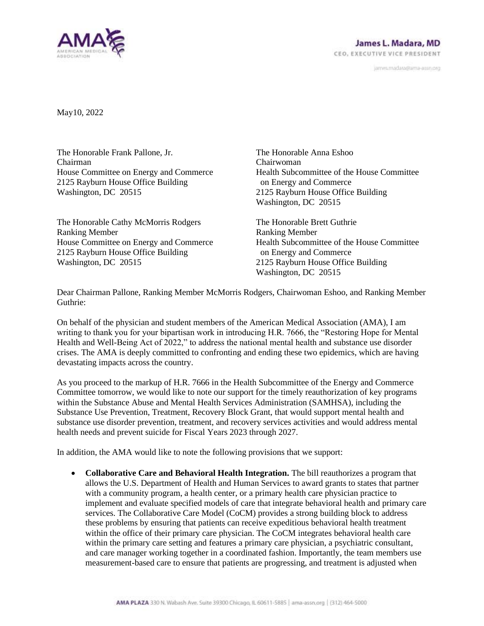

janves.madara@ama-assn.org

May10, 2022

The Honorable Frank Pallone, Jr. Chairman House Committee on Energy and Commerce 2125 Rayburn House Office Building Washington, DC 20515

The Honorable Cathy McMorris Rodgers Ranking Member House Committee on Energy and Commerce 2125 Rayburn House Office Building Washington, DC 20515

The Honorable Anna Eshoo Chairwoman Health Subcommittee of the House Committee on Energy and Commerce 2125 Rayburn House Office Building Washington, DC 20515

The Honorable Brett Guthrie Ranking Member Health Subcommittee of the House Committee on Energy and Commerce 2125 Rayburn House Office Building Washington, DC 20515

Dear Chairman Pallone, Ranking Member McMorris Rodgers, Chairwoman Eshoo, and Ranking Member Guthrie:

On behalf of the physician and student members of the American Medical Association (AMA), I am writing to thank you for your bipartisan work in introducing H.R. 7666, the "Restoring Hope for Mental Health and Well-Being Act of 2022," to address the national mental health and substance use disorder crises. The AMA is deeply committed to confronting and ending these two epidemics, which are having devastating impacts across the country.

As you proceed to the markup of H.R. 7666 in the Health Subcommittee of the Energy and Commerce Committee tomorrow, we would like to note our support for the timely reauthorization of key programs within the Substance Abuse and Mental Health Services Administration (SAMHSA), including the Substance Use Prevention, Treatment, Recovery Block Grant, that would support mental health and substance use disorder prevention, treatment, and recovery services activities and would address mental health needs and prevent suicide for Fiscal Years 2023 through 2027.

In addition, the AMA would like to note the following provisions that we support:

• **Collaborative Care and Behavioral Health Integration.** The bill reauthorizes a program that allows the U.S. Department of Health and Human Services to award grants to states that partner with a community program, a health center, or a primary health care physician practice to implement and evaluate specified models of care that integrate behavioral health and primary care services. The Collaborative Care Model (CoCM) provides a strong building block to address these problems by ensuring that patients can receive expeditious behavioral health treatment within the office of their primary care physician. The CoCM integrates behavioral health care within the primary care setting and features a primary care physician, a psychiatric consultant, and care manager working together in a coordinated fashion. Importantly, the team members use measurement-based care to ensure that patients are progressing, and treatment is adjusted when